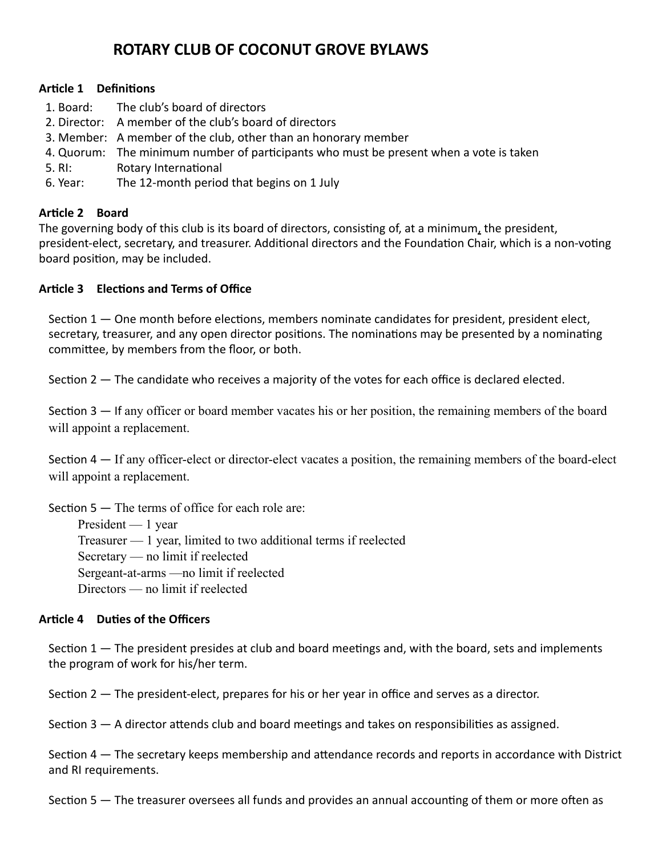# **ROTARY CLUB OF COCONUT GROVE BYLAWS**

## **Article 1 Definitions**

- 1. Board: The club's board of directors
- 2. Director: A member of the club's board of directors
- 3. Member: A member of the club, other than an honorary member
- 4. Quorum: The minimum number of participants who must be present when a vote is taken
- 5. RI: Rotary International
- 6. Year: The 12-month period that begins on 1 July

## **Article 2 Board**

The governing body of this club is its board of directors, consisting of, at a minimum, the president, president-elect, secretary, and treasurer. Additional directors and the Foundation Chair, which is a non-voting board position, may be included.

## **Article 3 Elections and Terms of Office**

Section  $1 -$  One month before elections, members nominate candidates for president, president elect, secretary, treasurer, and any open director positions. The nominations may be presented by a nominating committee, by members from the floor, or both.

Section  $2 -$  The candidate who receives a majority of the votes for each office is declared elected.

Section  $3 -$  If any officer or board member vacates his or her position, the remaining members of the board will appoint a replacement.

Section  $4 -$  If any officer-elect or director-elect vacates a position, the remaining members of the board-elect will appoint a replacement.

Section  $5 -$  The terms of office for each role are:

President — 1 year Treasurer — 1 year, limited to two additional terms if reelected Secretary — no limit if reelected Sergeant-at-arms —no limit if reelected Directors — no limit if reelected

#### **Article 4 Duties of the Officers**

Section  $1 -$  The president presides at club and board meetings and, with the board, sets and implements the program of work for his/her term.

Section  $2 -$  The president-elect, prepares for his or her year in office and serves as a director.

Section  $3 - A$  director attends club and board meetings and takes on responsibilities as assigned.

Section  $4 -$  The secretary keeps membership and attendance records and reports in accordance with District and RI requirements.

Section  $5 -$  The treasurer oversees all funds and provides an annual accounting of them or more often as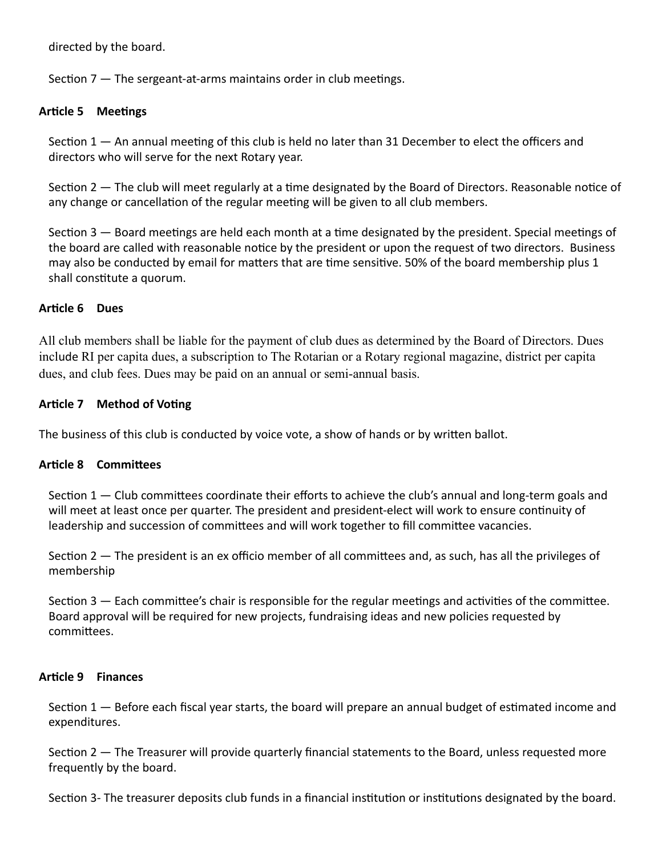directed by the board.

Section  $7 -$  The sergeant-at-arms maintains order in club meetings.

## **Article 5 Meetings**

Section  $1 -$  An annual meeting of this club is held no later than 31 December to elect the officers and directors who will serve for the next Rotary year.

Section  $2 -$  The club will meet regularly at a time designated by the Board of Directors. Reasonable notice of any change or cancellation of the regular meeting will be given to all club members.

Section  $3 -$  Board meetings are held each month at a time designated by the president. Special meetings of the board are called with reasonable notice by the president or upon the request of two directors. Business may also be conducted by email for matters that are time sensitive. 50% of the board membership plus 1 shall constitute a quorum.

#### **Article 6 Dues**

All club members shall be liable for the payment of club dues as determined by the Board of Directors. Dues include RI per capita dues, a subscription to The Rotarian or a Rotary regional magazine, district per capita dues, and club fees. Dues may be paid on an annual or semi-annual basis.

## **Article 7 • Method of Voting**

The business of this club is conducted by voice vote, a show of hands or by written ballot.

#### **Article 8 Committees**

Section  $1 -$  Club committees coordinate their efforts to achieve the club's annual and long-term goals and will meet at least once per quarter. The president and president-elect will work to ensure continuity of leadership and succession of committees and will work together to fill committee vacancies.

Section  $2 -$  The president is an ex officio member of all committees and, as such, has all the privileges of membership 

Section  $3 -$  Each committee's chair is responsible for the regular meetings and activities of the committee. Board approval will be required for new projects, fundraising ideas and new policies requested by committees.

#### Article 9 **Finances**

Section  $1 -$  Before each fiscal year starts, the board will prepare an annual budget of estimated income and expenditures. 

Section 2 – The Treasurer will provide quarterly financial statements to the Board, unless requested more frequently by the board.

Section 3- The treasurer deposits club funds in a financial institution or institutions designated by the board.